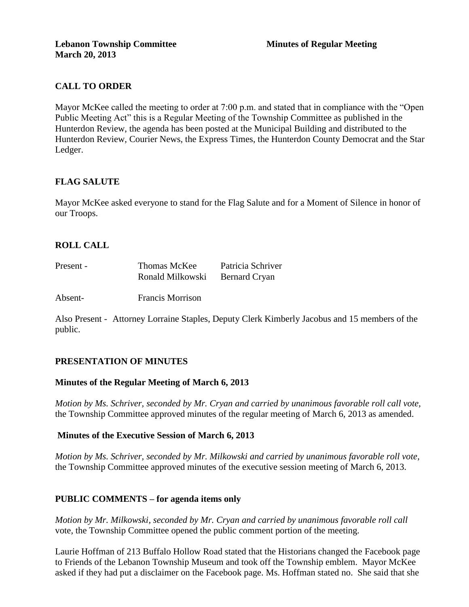# **CALL TO ORDER**

Mayor McKee called the meeting to order at 7:00 p.m. and stated that in compliance with the "Open Public Meeting Act" this is a Regular Meeting of the Township Committee as published in the Hunterdon Review, the agenda has been posted at the Municipal Building and distributed to the Hunterdon Review, Courier News, the Express Times, the Hunterdon County Democrat and the Star Ledger.

## **FLAG SALUTE**

Mayor McKee asked everyone to stand for the Flag Salute and for a Moment of Silence in honor of our Troops.

# **ROLL CALL**

| Present - | Thomas McKee     | Patricia Schriver    |
|-----------|------------------|----------------------|
|           | Ronald Milkowski | <b>Bernard Cryan</b> |

Absent- Francis Morrison

Also Present - Attorney Lorraine Staples, Deputy Clerk Kimberly Jacobus and 15 members of the public.

## **PRESENTATION OF MINUTES**

## **Minutes of the Regular Meeting of March 6, 2013**

*Motion by Ms. Schriver, seconded by Mr. Cryan and carried by unanimous favorable roll call vote,* the Township Committee approved minutes of the regular meeting of March 6, 2013 as amended.

## **Minutes of the Executive Session of March 6, 2013**

*Motion by Ms. Schriver, seconded by Mr. Milkowski and carried by unanimous favorable roll vote,* the Township Committee approved minutes of the executive session meeting of March 6, 2013.

### **PUBLIC COMMENTS – for agenda items only**

*Motion by Mr. Milkowski, seconded by Mr. Cryan and carried by unanimous favorable roll call*  vote*,* the Township Committee opened the public comment portion of the meeting.

Laurie Hoffman of 213 Buffalo Hollow Road stated that the Historians changed the Facebook page to Friends of the Lebanon Township Museum and took off the Township emblem. Mayor McKee asked if they had put a disclaimer on the Facebook page. Ms. Hoffman stated no. She said that she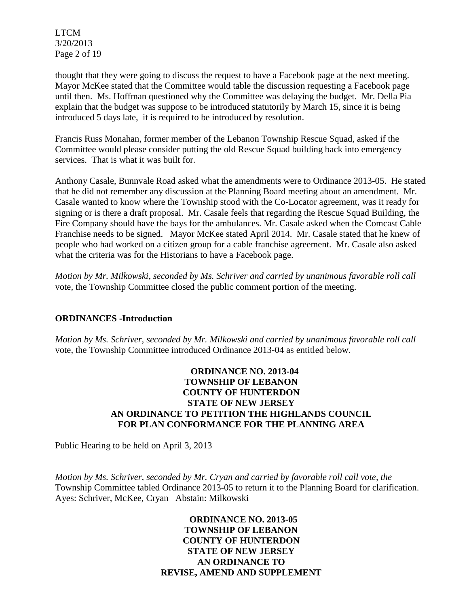LTCM 3/20/2013 Page 2 of 19

thought that they were going to discuss the request to have a Facebook page at the next meeting. Mayor McKee stated that the Committee would table the discussion requesting a Facebook page until then. Ms. Hoffman questioned why the Committee was delaying the budget. Mr. Della Pia explain that the budget was suppose to be introduced statutorily by March 15, since it is being introduced 5 days late, it is required to be introduced by resolution.

Francis Russ Monahan, former member of the Lebanon Township Rescue Squad, asked if the Committee would please consider putting the old Rescue Squad building back into emergency services. That is what it was built for.

Anthony Casale, Bunnvale Road asked what the amendments were to Ordinance 2013-05. He stated that he did not remember any discussion at the Planning Board meeting about an amendment. Mr. Casale wanted to know where the Township stood with the Co-Locator agreement, was it ready for signing or is there a draft proposal. Mr. Casale feels that regarding the Rescue Squad Building, the Fire Company should have the bays for the ambulances. Mr. Casale asked when the Comcast Cable Franchise needs to be signed. Mayor McKee stated April 2014. Mr. Casale stated that he knew of people who had worked on a citizen group for a cable franchise agreement. Mr. Casale also asked what the criteria was for the Historians to have a Facebook page.

*Motion by Mr. Milkowski, seconded by Ms. Schriver and carried by unanimous favorable roll call*  vote*,* the Township Committee closed the public comment portion of the meeting.

## **ORDINANCES -Introduction**

*Motion by Ms. Schriver, seconded by Mr. Milkowski and carried by unanimous favorable roll call*  vote, the Township Committee introduced Ordinance 2013-04 as entitled below.

## **ORDINANCE NO. 2013-04 TOWNSHIP OF LEBANON COUNTY OF HUNTERDON STATE OF NEW JERSEY AN ORDINANCE TO PETITION THE HIGHLANDS COUNCIL FOR PLAN CONFORMANCE FOR THE PLANNING AREA**

Public Hearing to be held on April 3, 2013

*Motion by Ms. Schriver, seconded by Mr. Cryan and carried by favorable roll call vote, the*  Township Committee tabled Ordinance 2013-05 to return it to the Planning Board for clarification. Ayes: Schriver, McKee, Cryan Abstain: Milkowski

> **ORDINANCE NO. 2013-05 TOWNSHIP OF LEBANON COUNTY OF HUNTERDON STATE OF NEW JERSEY AN ORDINANCE TO REVISE, AMEND AND SUPPLEMENT**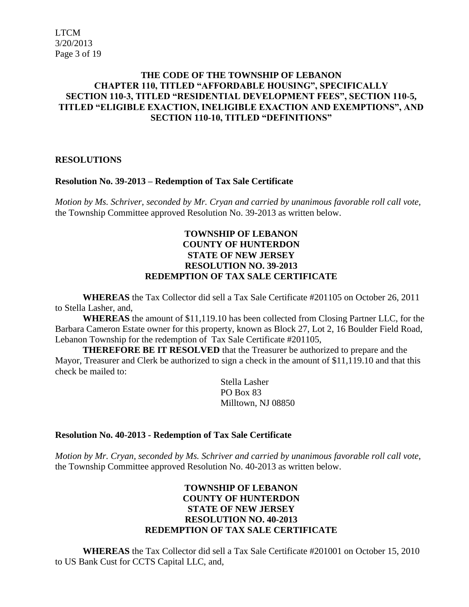LTCM 3/20/2013 Page 3 of 19

### **THE CODE OF THE TOWNSHIP OF LEBANON CHAPTER 110, TITLED "AFFORDABLE HOUSING", SPECIFICALLY SECTION 110-3, TITLED "RESIDENTIAL DEVELOPMENT FEES", SECTION 110-5, TITLED "ELIGIBLE EXACTION, INELIGIBLE EXACTION AND EXEMPTIONS", AND SECTION 110-10, TITLED "DEFINITIONS"**

### **RESOLUTIONS**

#### **Resolution No. 39-2013 – Redemption of Tax Sale Certificate**

*Motion by Ms. Schriver, seconded by Mr. Cryan and carried by unanimous favorable roll call vote,* the Township Committee approved Resolution No. 39-2013 as written below.

### **TOWNSHIP OF LEBANON COUNTY OF HUNTERDON STATE OF NEW JERSEY RESOLUTION NO. 39-2013 REDEMPTION OF TAX SALE CERTIFICATE**

**WHEREAS** the Tax Collector did sell a Tax Sale Certificate #201105 on October 26, 2011 to Stella Lasher, and,

**WHEREAS** the amount of \$11,119.10 has been collected from Closing Partner LLC, for the Barbara Cameron Estate owner for this property, known as Block 27, Lot 2, 16 Boulder Field Road, Lebanon Township for the redemption of Tax Sale Certificate #201105,

**THEREFORE BE IT RESOLVED** that the Treasurer be authorized to prepare and the Mayor, Treasurer and Clerk be authorized to sign a check in the amount of \$11,119.10 and that this check be mailed to:

> Stella Lasher PO Box 83 Milltown, NJ 08850

#### **Resolution No. 40-2013 - Redemption of Tax Sale Certificate**

*Motion by Mr. Cryan, seconded by Ms. Schriver and carried by unanimous favorable roll call vote*, the Township Committee approved Resolution No. 40-2013 as written below.

## **TOWNSHIP OF LEBANON COUNTY OF HUNTERDON STATE OF NEW JERSEY RESOLUTION NO. 40-2013 REDEMPTION OF TAX SALE CERTIFICATE**

**WHEREAS** the Tax Collector did sell a Tax Sale Certificate #201001 on October 15, 2010 to US Bank Cust for CCTS Capital LLC, and,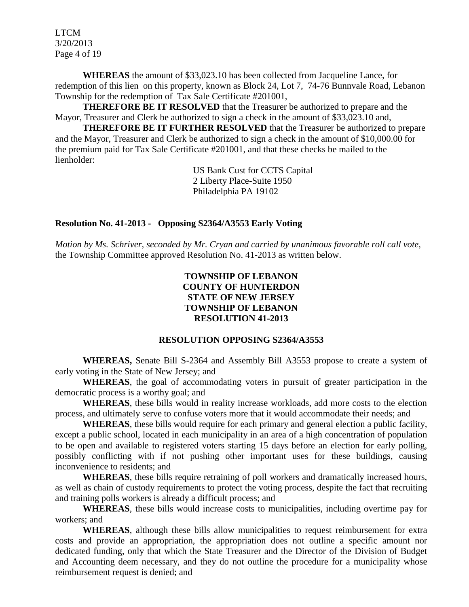LTCM 3/20/2013 Page 4 of 19

**WHEREAS** the amount of \$33,023.10 has been collected from Jacqueline Lance, for redemption of this lien on this property, known as Block 24, Lot 7, 74-76 Bunnvale Road, Lebanon Township for the redemption of Tax Sale Certificate #201001,

**THEREFORE BE IT RESOLVED** that the Treasurer be authorized to prepare and the Mayor, Treasurer and Clerk be authorized to sign a check in the amount of \$33,023.10 and,

**THEREFORE BE IT FURTHER RESOLVED** that the Treasurer be authorized to prepare and the Mayor, Treasurer and Clerk be authorized to sign a check in the amount of \$10,000.00 for the premium paid for Tax Sale Certificate #201001, and that these checks be mailed to the lienholder:

> US Bank Cust for CCTS Capital 2 Liberty Place-Suite 1950 Philadelphia PA 19102

#### **Resolution No. 41-2013 - Opposing S2364/A3553 Early Voting**

*Motion by Ms. Schriver, seconded by Mr. Cryan and carried by unanimous favorable roll call vote,* the Township Committee approved Resolution No. 41-2013 as written below.

### **TOWNSHIP OF LEBANON COUNTY OF HUNTERDON STATE OF NEW JERSEY TOWNSHIP OF LEBANON RESOLUTION 41-2013**

### **RESOLUTION OPPOSING S2364/A3553**

**WHEREAS,** Senate Bill S-2364 and Assembly Bill A3553 propose to create a system of early voting in the State of New Jersey; and

**WHEREAS**, the goal of accommodating voters in pursuit of greater participation in the democratic process is a worthy goal; and

**WHEREAS**, these bills would in reality increase workloads, add more costs to the election process, and ultimately serve to confuse voters more that it would accommodate their needs; and

**WHEREAS**, these bills would require for each primary and general election a public facility, except a public school, located in each municipality in an area of a high concentration of population to be open and available to registered voters starting 15 days before an election for early polling, possibly conflicting with if not pushing other important uses for these buildings, causing inconvenience to residents; and

**WHEREAS**, these bills require retraining of poll workers and dramatically increased hours, as well as chain of custody requirements to protect the voting process, despite the fact that recruiting and training polls workers is already a difficult process; and

**WHEREAS**, these bills would increase costs to municipalities, including overtime pay for workers; and

**WHEREAS**, although these bills allow municipalities to request reimbursement for extra costs and provide an appropriation, the appropriation does not outline a specific amount nor dedicated funding, only that which the State Treasurer and the Director of the Division of Budget and Accounting deem necessary, and they do not outline the procedure for a municipality whose reimbursement request is denied; and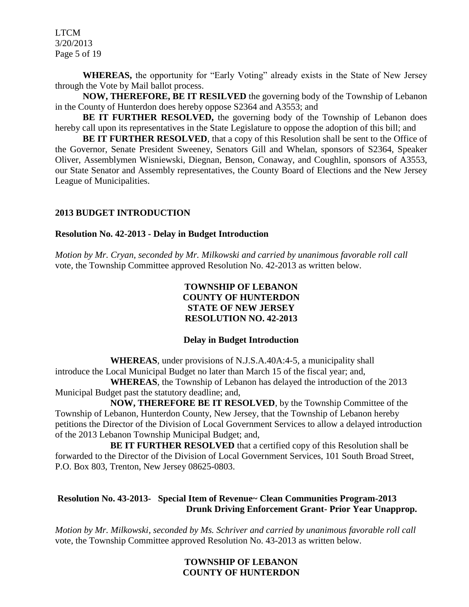LTCM 3/20/2013 Page 5 of 19

**WHEREAS,** the opportunity for "Early Voting" already exists in the State of New Jersey through the Vote by Mail ballot process.

**NOW, THEREFORE, BE IT RESILVED** the governing body of the Township of Lebanon in the County of Hunterdon does hereby oppose S2364 and A3553; and

**BE IT FURTHER RESOLVED,** the governing body of the Township of Lebanon does hereby call upon its representatives in the State Legislature to oppose the adoption of this bill; and

**BE IT FURTHER RESOLVED**, that a copy of this Resolution shall be sent to the Office of the Governor, Senate President Sweeney, Senators Gill and Whelan, sponsors of S2364, Speaker Oliver, Assemblymen Wisniewski, Diegnan, Benson, Conaway, and Coughlin, sponsors of A3553, our State Senator and Assembly representatives, the County Board of Elections and the New Jersey League of Municipalities.

### **2013 BUDGET INTRODUCTION**

### **Resolution No. 42-2013 - Delay in Budget Introduction**

*Motion by Mr. Cryan, seconded by Mr. Milkowski and carried by unanimous favorable roll call*  vote*,* the Township Committee approved Resolution No. 42-2013 as written below.

## **TOWNSHIP OF LEBANON COUNTY OF HUNTERDON STATE OF NEW JERSEY RESOLUTION NO. 42-2013**

### **Delay in Budget Introduction**

**WHEREAS**, under provisions of N.J.S.A.40A:4-5, a municipality shall introduce the Local Municipal Budget no later than March 15 of the fiscal year; and,

**WHEREAS**, the Township of Lebanon has delayed the introduction of the 2013 Municipal Budget past the statutory deadline; and,

**NOW, THEREFORE BE IT RESOLVED**, by the Township Committee of the Township of Lebanon, Hunterdon County, New Jersey, that the Township of Lebanon hereby petitions the Director of the Division of Local Government Services to allow a delayed introduction of the 2013 Lebanon Township Municipal Budget; and,

**BE IT FURTHER RESOLVED** that a certified copy of this Resolution shall be forwarded to the Director of the Division of Local Government Services, 101 South Broad Street, P.O. Box 803, Trenton, New Jersey 08625-0803.

## **Resolution No. 43-2013- Special Item of Revenue~ Clean Communities Program-2013 Drunk Driving Enforcement Grant- Prior Year Unapprop.**

*Motion by Mr. Milkowski, seconded by Ms. Schriver and carried by unanimous favorable roll call*  vote, the Township Committee approved Resolution No. 43-2013 as written below.

### **TOWNSHIP OF LEBANON COUNTY OF HUNTERDON**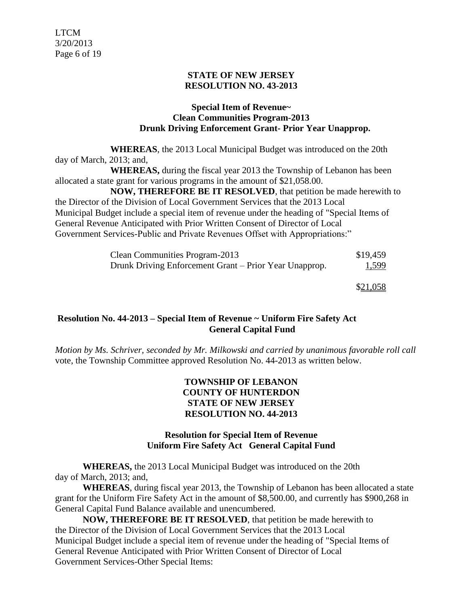## **STATE OF NEW JERSEY RESOLUTION NO. 43-2013**

#### **Special Item of Revenue~ Clean Communities Program-2013 Drunk Driving Enforcement Grant- Prior Year Unapprop.**

**WHEREAS**, the 2013 Local Municipal Budget was introduced on the 20th day of March, 2013; and,

**WHEREAS,** during the fiscal year 2013 the Township of Lebanon has been allocated a state grant for various programs in the amount of \$21,058.00.

**NOW, THEREFORE BE IT RESOLVED**, that petition be made herewith to the Director of the Division of Local Government Services that the 2013 Local Municipal Budget include a special item of revenue under the heading of "Special Items of General Revenue Anticipated with Prior Written Consent of Director of Local Government Services-Public and Private Revenues Offset with Appropriations:"

| Clean Communities Program-2013                         | \$19,459 |
|--------------------------------------------------------|----------|
| Drunk Driving Enforcement Grant – Prior Year Unapprop. | 1,599    |

\$21,058

## **Resolution No. 44-2013 – Special Item of Revenue ~ Uniform Fire Safety Act General Capital Fund**

*Motion by Ms. Schriver, seconded by Mr. Milkowski and carried by unanimous favorable roll call*  vote, the Township Committee approved Resolution No. 44-2013 as written below.

### **TOWNSHIP OF LEBANON COUNTY OF HUNTERDON STATE OF NEW JERSEY RESOLUTION NO. 44-2013**

### **Resolution for Special Item of Revenue Uniform Fire Safety Act General Capital Fund**

 **WHEREAS,** the 2013 Local Municipal Budget was introduced on the 20th day of March, 2013; and,

**WHEREAS**, during fiscal year 2013, the Township of Lebanon has been allocated a state grant for the Uniform Fire Safety Act in the amount of \$8,500.00, and currently has \$900,268 in General Capital Fund Balance available and unencumbered.

**NOW, THEREFORE BE IT RESOLVED**, that petition be made herewith to the Director of the Division of Local Government Services that the 2013 Local Municipal Budget include a special item of revenue under the heading of "Special Items of General Revenue Anticipated with Prior Written Consent of Director of Local Government Services-Other Special Items: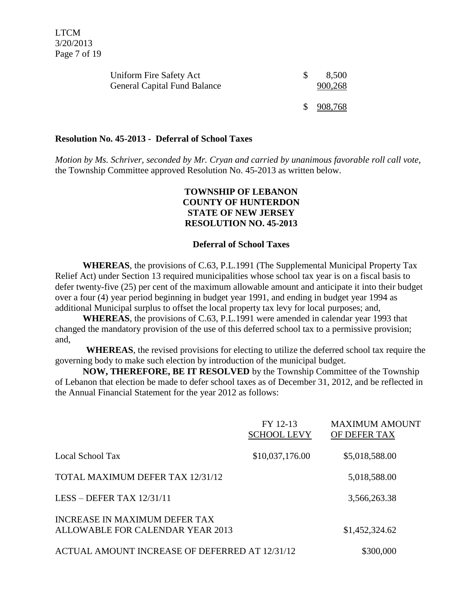| Uniform Fire Safety Act<br><b>General Capital Fund Balance</b> | 8,500<br>900,268 |
|----------------------------------------------------------------|------------------|
|                                                                | \$908,768        |

#### **Resolution No. 45-2013 - Deferral of School Taxes**

*Motion by Ms. Schriver, seconded by Mr. Cryan and carried by unanimous favorable roll call vote,* the Township Committee approved Resolution No. 45-2013 as written below.

### **TOWNSHIP OF LEBANON COUNTY OF HUNTERDON STATE OF NEW JERSEY RESOLUTION NO. 45-2013**

#### **Deferral of School Taxes**

**WHEREAS**, the provisions of C.63, P.L.1991 (The Supplemental Municipal Property Tax Relief Act) under Section 13 required municipalities whose school tax year is on a fiscal basis to defer twenty-five (25) per cent of the maximum allowable amount and anticipate it into their budget over a four (4) year period beginning in budget year 1991, and ending in budget year 1994 as additional Municipal surplus to offset the local property tax levy for local purposes; and,

**WHEREAS**, the provisions of C.63, P.L.1991 were amended in calendar year 1993 that changed the mandatory provision of the use of this deferred school tax to a permissive provision; and,

**WHEREAS**, the revised provisions for electing to utilize the deferred school tax require the governing body to make such election by introduction of the municipal budget.

**NOW, THEREFORE, BE IT RESOLVED** by the Township Committee of the Township of Lebanon that election be made to defer school taxes as of December 31, 2012, and be reflected in the Annual Financial Statement for the year 2012 as follows:

|                                                                   | FY 12-13<br><b>SCHOOL LEVY</b> | <b>MAXIMUM AMOUNT</b><br>OF DEFER TAX |
|-------------------------------------------------------------------|--------------------------------|---------------------------------------|
| Local School Tax                                                  | \$10,037,176.00                | \$5,018,588.00                        |
| TOTAL MAXIMUM DEFER TAX 12/31/12                                  |                                | 5,018,588.00                          |
| LESS – DEFER TAX $12/31/11$                                       |                                | 3,566,263.38                          |
| INCREASE IN MAXIMUM DEFER TAX<br>ALLOWABLE FOR CALENDAR YEAR 2013 |                                | \$1,452,324.62                        |
| ACTUAL AMOUNT INCREASE OF DEFERRED AT 12/31/12                    |                                | \$300,000                             |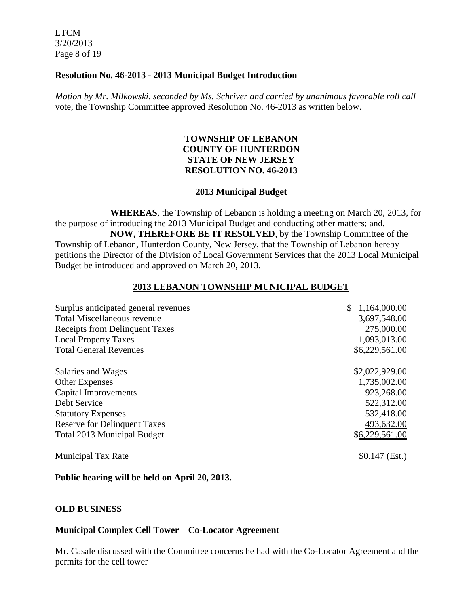LTCM 3/20/2013 Page 8 of 19

#### **Resolution No. 46-2013 - 2013 Municipal Budget Introduction**

*Motion by Mr. Milkowski, seconded by Ms. Schriver and carried by unanimous favorable roll call*  vote, the Township Committee approved Resolution No. 46-2013 as written below.

### **TOWNSHIP OF LEBANON COUNTY OF HUNTERDON STATE OF NEW JERSEY RESOLUTION NO. 46-2013**

#### **2013 Municipal Budget**

**WHEREAS**, the Township of Lebanon is holding a meeting on March 20, 2013, for the purpose of introducing the 2013 Municipal Budget and conducting other matters; and, **NOW, THEREFORE BE IT RESOLVED**, by the Township Committee of the Township of Lebanon, Hunterdon County, New Jersey, that the Township of Lebanon hereby petitions the Director of the Division of Local Government Services that the 2013 Local Municipal Budget be introduced and approved on March 20, 2013.

### **2013 LEBANON TOWNSHIP MUNICIPAL BUDGET**

| Surplus anticipated general revenues  | 1,164,000.00    |
|---------------------------------------|-----------------|
| <b>Total Miscellaneous revenue</b>    | 3,697,548.00    |
| <b>Receipts from Delinquent Taxes</b> | 275,000.00      |
| <b>Local Property Taxes</b>           | 1,093,013.00    |
| <b>Total General Revenues</b>         | \$6,229,561.00  |
| Salaries and Wages                    | \$2,022,929.00  |
| <b>Other Expenses</b>                 | 1,735,002.00    |
| Capital Improvements                  | 923,268.00      |
| Debt Service                          | 522,312.00      |
| <b>Statutory Expenses</b>             | 532,418.00      |
| <b>Reserve for Delinquent Taxes</b>   | 493,632.00      |
| Total 2013 Municipal Budget           | \$6,229,561.00  |
| <b>Municipal Tax Rate</b>             | $$0.147$ (Est.) |

### **Public hearing will be held on April 20, 2013.**

### **OLD BUSINESS**

### **Municipal Complex Cell Tower – Co-Locator Agreement**

Mr. Casale discussed with the Committee concerns he had with the Co-Locator Agreement and the permits for the cell tower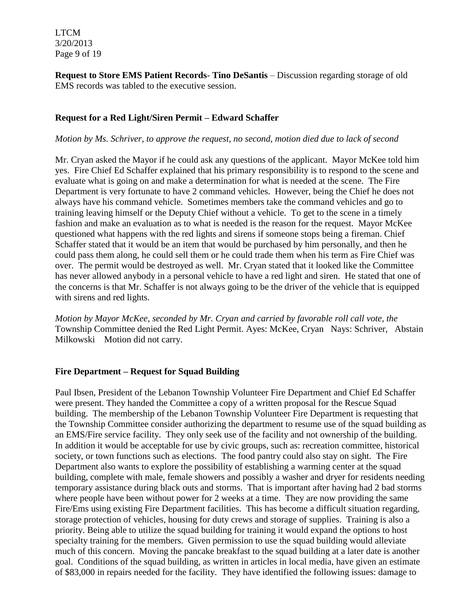LTCM 3/20/2013 Page 9 of 19

**Request to Store EMS Patient Records**- **Tino DeSantis** – Discussion regarding storage of old EMS records was tabled to the executive session.

### **Request for a Red Light/Siren Permit – Edward Schaffer**

#### *Motion by Ms. Schriver, to approve the request, no second, motion died due to lack of second*

Mr. Cryan asked the Mayor if he could ask any questions of the applicant. Mayor McKee told him yes. Fire Chief Ed Schaffer explained that his primary responsibility is to respond to the scene and evaluate what is going on and make a determination for what is needed at the scene. The Fire Department is very fortunate to have 2 command vehicles. However, being the Chief he does not always have his command vehicle. Sometimes members take the command vehicles and go to training leaving himself or the Deputy Chief without a vehicle. To get to the scene in a timely fashion and make an evaluation as to what is needed is the reason for the request. Mayor McKee questioned what happens with the red lights and sirens if someone stops being a fireman. Chief Schaffer stated that it would be an item that would be purchased by him personally, and then he could pass them along, he could sell them or he could trade them when his term as Fire Chief was over. The permit would be destroyed as well. Mr. Cryan stated that it looked like the Committee has never allowed anybody in a personal vehicle to have a red light and siren. He stated that one of the concerns is that Mr. Schaffer is not always going to be the driver of the vehicle that is equipped with sirens and red lights.

*Motion by Mayor McKee, seconded by Mr. Cryan and carried by favorable roll call vote, the*  Township Committee denied the Red Light Permit. Ayes: McKee, Cryan Nays: Schriver, Abstain Milkowski Motion did not carry.

### **Fire Department – Request for Squad Building**

Paul Ibsen, President of the Lebanon Township Volunteer Fire Department and Chief Ed Schaffer were present. They handed the Committee a copy of a written proposal for the Rescue Squad building. The membership of the Lebanon Township Volunteer Fire Department is requesting that the Township Committee consider authorizing the department to resume use of the squad building as an EMS/Fire service facility. They only seek use of the facility and not ownership of the building. In addition it would be acceptable for use by civic groups, such as: recreation committee, historical society, or town functions such as elections. The food pantry could also stay on sight. The Fire Department also wants to explore the possibility of establishing a warming center at the squad building, complete with male, female showers and possibly a washer and dryer for residents needing temporary assistance during black outs and storms. That is important after having had 2 bad storms where people have been without power for 2 weeks at a time. They are now providing the same Fire/Ems using existing Fire Department facilities. This has become a difficult situation regarding, storage protection of vehicles, housing for duty crews and storage of supplies. Training is also a priority. Being able to utilize the squad building for training it would expand the options to host specialty training for the members. Given permission to use the squad building would alleviate much of this concern. Moving the pancake breakfast to the squad building at a later date is another goal. Conditions of the squad building, as written in articles in local media, have given an estimate of \$83,000 in repairs needed for the facility. They have identified the following issues: damage to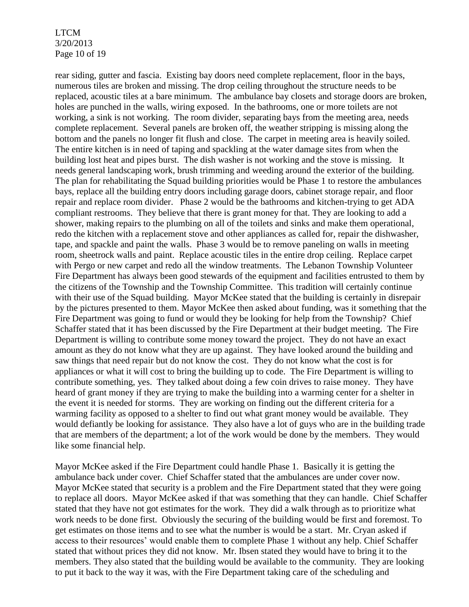LTCM 3/20/2013 Page 10 of 19

rear siding, gutter and fascia. Existing bay doors need complete replacement, floor in the bays, numerous tiles are broken and missing. The drop ceiling throughout the structure needs to be replaced, acoustic tiles at a bare minimum. The ambulance bay closets and storage doors are broken, holes are punched in the walls, wiring exposed. In the bathrooms, one or more toilets are not working, a sink is not working. The room divider, separating bays from the meeting area, needs complete replacement. Several panels are broken off, the weather stripping is missing along the bottom and the panels no longer fit flush and close. The carpet in meeting area is heavily soiled. The entire kitchen is in need of taping and spackling at the water damage sites from when the building lost heat and pipes burst. The dish washer is not working and the stove is missing. It needs general landscaping work, brush trimming and weeding around the exterior of the building. The plan for rehabilitating the Squad building priorities would be Phase 1 to restore the ambulances bays, replace all the building entry doors including garage doors, cabinet storage repair, and floor repair and replace room divider. Phase 2 would be the bathrooms and kitchen-trying to get ADA compliant restrooms. They believe that there is grant money for that. They are looking to add a shower, making repairs to the plumbing on all of the toilets and sinks and make them operational, redo the kitchen with a replacement stove and other appliances as called for, repair the dishwasher, tape, and spackle and paint the walls. Phase 3 would be to remove paneling on walls in meeting room, sheetrock walls and paint. Replace acoustic tiles in the entire drop ceiling. Replace carpet with Pergo or new carpet and redo all the window treatments. The Lebanon Township Volunteer Fire Department has always been good stewards of the equipment and facilities entrusted to them by the citizens of the Township and the Township Committee. This tradition will certainly continue with their use of the Squad building. Mayor McKee stated that the building is certainly in disrepair by the pictures presented to them. Mayor McKee then asked about funding, was it something that the Fire Department was going to fund or would they be looking for help from the Township? Chief Schaffer stated that it has been discussed by the Fire Department at their budget meeting. The Fire Department is willing to contribute some money toward the project. They do not have an exact amount as they do not know what they are up against. They have looked around the building and saw things that need repair but do not know the cost. They do not know what the cost is for appliances or what it will cost to bring the building up to code. The Fire Department is willing to contribute something, yes. They talked about doing a few coin drives to raise money. They have heard of grant money if they are trying to make the building into a warming center for a shelter in the event it is needed for storms. They are working on finding out the different criteria for a warming facility as opposed to a shelter to find out what grant money would be available. They would defiantly be looking for assistance. They also have a lot of guys who are in the building trade that are members of the department; a lot of the work would be done by the members. They would like some financial help.

Mayor McKee asked if the Fire Department could handle Phase 1. Basically it is getting the ambulance back under cover. Chief Schaffer stated that the ambulances are under cover now. Mayor McKee stated that security is a problem and the Fire Department stated that they were going to replace all doors. Mayor McKee asked if that was something that they can handle. Chief Schaffer stated that they have not got estimates for the work. They did a walk through as to prioritize what work needs to be done first. Obviously the securing of the building would be first and foremost. To get estimates on those items and to see what the number is would be a start. Mr. Cryan asked if access to their resources' would enable them to complete Phase 1 without any help. Chief Schaffer stated that without prices they did not know. Mr. Ibsen stated they would have to bring it to the members. They also stated that the building would be available to the community. They are looking to put it back to the way it was, with the Fire Department taking care of the scheduling and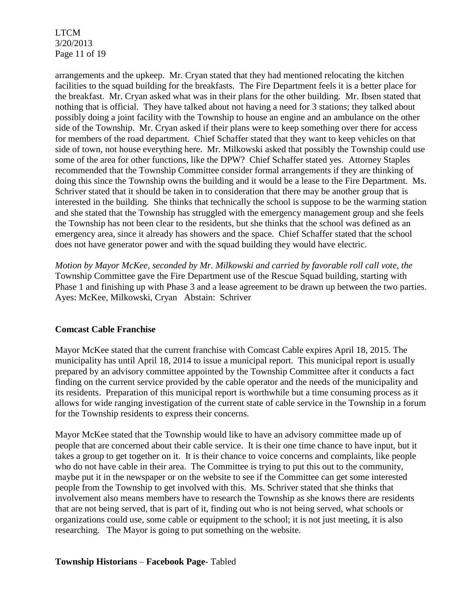LTCM 3/20/2013 Page 11 of 19

arrangements and the upkeep. Mr. Cryan stated that they had mentioned relocating the kitchen facilities to the squad building for the breakfasts. The Fire Department feels it is a better place for the breakfast. Mr. Cryan asked what was in their plans for the other building. Mr. Ibsen stated that nothing that is official. They have talked about not having a need for 3 stations; they talked about possibly doing a joint facility with the Township to house an engine and an ambulance on the other side of the Township. Mr. Cryan asked if their plans were to keep something over there for access for members of the road department. Chief Schaffer stated that they want to keep vehicles on that side of town, not house everything here. Mr. Milkowski asked that possibly the Township could use some of the area for other functions, like the DPW? Chief Schaffer stated yes. Attorney Staples recommended that the Township Committee consider formal arrangements if they are thinking of doing this since the Township owns the building and it would be a lease to the Fire Department. Ms. Schriver stated that it should be taken in to consideration that there may be another group that is interested in the building. She thinks that technically the school is suppose to be the warming station and she stated that the Township has struggled with the emergency management group and she feels the Township has not been clear to the residents, but she thinks that the school was defined as an emergency area, since it already has showers and the space. Chief Schaffer stated that the school does not have generator power and with the squad building they would have electric.

*Motion by Mayor McKee, seconded by Mr. Milkowski and carried by favorable roll call vote, the*  Township Committee gave the Fire Department use of the Rescue Squad building, starting with Phase 1 and finishing up with Phase 3 and a lease agreement to be drawn up between the two parties. Ayes: McKee, Milkowski, Cryan Abstain: Schriver

### **Comcast Cable Franchise**

Mayor McKee stated that the current franchise with Comcast Cable expires April 18, 2015. The municipality has until April 18, 2014 to issue a municipal report. This municipal report is usually prepared by an advisory committee appointed by the Township Committee after it conducts a fact finding on the current service provided by the cable operator and the needs of the municipality and its residents. Preparation of this municipal report is worthwhile but a time consuming process as it allows for wide ranging investigation of the current state of cable service in the Township in a forum for the Township residents to express their concerns.

Mayor McKee stated that the Township would like to have an advisory committee made up of people that are concerned about their cable service. It is their one time chance to have input, but it takes a group to get together on it. It is their chance to voice concerns and complaints, like people who do not have cable in their area. The Committee is trying to put this out to the community, maybe put it in the newspaper or on the website to see if the Committee can get some interested people from the Township to get involved with this. Ms. Schriver stated that she thinks that involvement also means members have to research the Township as she knows there are residents that are not being served, that is part of it, finding out who is not being served, what schools or organizations could use, some cable or equipment to the school; it is not just meeting, it is also researching. The Mayor is going to put something on the website.

### **Township Historians** – **Facebook Page**- Tabled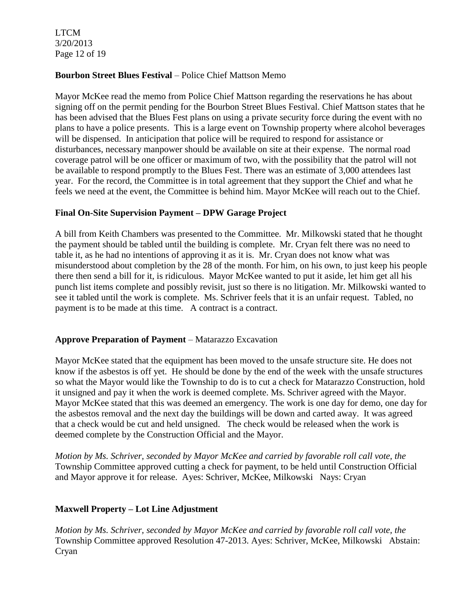LTCM 3/20/2013 Page 12 of 19

### **Bourbon Street Blues Festival** – Police Chief Mattson Memo

Mayor McKee read the memo from Police Chief Mattson regarding the reservations he has about signing off on the permit pending for the Bourbon Street Blues Festival. Chief Mattson states that he has been advised that the Blues Fest plans on using a private security force during the event with no plans to have a police presents. This is a large event on Township property where alcohol beverages will be dispensed. In anticipation that police will be required to respond for assistance or disturbances, necessary manpower should be available on site at their expense. The normal road coverage patrol will be one officer or maximum of two, with the possibility that the patrol will not be available to respond promptly to the Blues Fest. There was an estimate of 3,000 attendees last year. For the record, the Committee is in total agreement that they support the Chief and what he feels we need at the event, the Committee is behind him. Mayor McKee will reach out to the Chief.

### **Final On-Site Supervision Payment – DPW Garage Project**

A bill from Keith Chambers was presented to the Committee. Mr. Milkowski stated that he thought the payment should be tabled until the building is complete. Mr. Cryan felt there was no need to table it, as he had no intentions of approving it as it is. Mr. Cryan does not know what was misunderstood about completion by the 28 of the month. For him, on his own, to just keep his people there then send a bill for it, is ridiculous. Mayor McKee wanted to put it aside, let him get all his punch list items complete and possibly revisit, just so there is no litigation. Mr. Milkowski wanted to see it tabled until the work is complete. Ms. Schriver feels that it is an unfair request. Tabled, no payment is to be made at this time. A contract is a contract.

## **Approve Preparation of Payment** – Matarazzo Excavation

Mayor McKee stated that the equipment has been moved to the unsafe structure site. He does not know if the asbestos is off yet. He should be done by the end of the week with the unsafe structures so what the Mayor would like the Township to do is to cut a check for Matarazzo Construction, hold it unsigned and pay it when the work is deemed complete. Ms. Schriver agreed with the Mayor. Mayor McKee stated that this was deemed an emergency. The work is one day for demo, one day for the asbestos removal and the next day the buildings will be down and carted away. It was agreed that a check would be cut and held unsigned. The check would be released when the work is deemed complete by the Construction Official and the Mayor.

*Motion by Ms. Schriver, seconded by Mayor McKee and carried by favorable roll call vote, the* Township Committee approved cutting a check for payment, to be held until Construction Official and Mayor approve it for release. Ayes: Schriver, McKee, Milkowski Nays: Cryan

## **Maxwell Property – Lot Line Adjustment**

*Motion by Ms. Schriver, seconded by Mayor McKee and carried by favorable roll call vote, the* Township Committee approved Resolution 47-2013. Ayes: Schriver, McKee, Milkowski Abstain: Cryan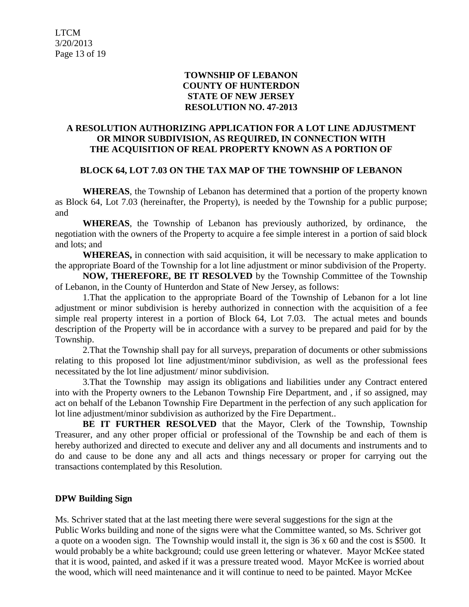### **TOWNSHIP OF LEBANON COUNTY OF HUNTERDON STATE OF NEW JERSEY RESOLUTION NO. 47-2013**

## **A RESOLUTION AUTHORIZING APPLICATION FOR A LOT LINE ADJUSTMENT OR MINOR SUBDIVISION, AS REQUIRED, IN CONNECTION WITH THE ACQUISITION OF REAL PROPERTY KNOWN AS A PORTION OF**

### **BLOCK 64, LOT 7.03 ON THE TAX MAP OF THE TOWNSHIP OF LEBANON**

**WHEREAS**, the Township of Lebanon has determined that a portion of the property known as Block 64, Lot 7.03 (hereinafter, the Property), is needed by the Township for a public purpose; and

**WHEREAS**, the Township of Lebanon has previously authorized, by ordinance, the negotiation with the owners of the Property to acquire a fee simple interest in a portion of said block and lots; and

**WHEREAS,** in connection with said acquisition, it will be necessary to make application to the appropriate Board of the Township for a lot line adjustment or minor subdivision of the Property.

**NOW, THEREFORE, BE IT RESOLVED** by the Township Committee of the Township of Lebanon, in the County of Hunterdon and State of New Jersey, as follows:

1.That the application to the appropriate Board of the Township of Lebanon for a lot line adjustment or minor subdivision is hereby authorized in connection with the acquisition of a fee simple real property interest in a portion of Block 64, Lot 7.03. The actual metes and bounds description of the Property will be in accordance with a survey to be prepared and paid for by the Township.

2.That the Township shall pay for all surveys, preparation of documents or other submissions relating to this proposed lot line adjustment/minor subdivision, as well as the professional fees necessitated by the lot line adjustment/ minor subdivision.

3.That the Township may assign its obligations and liabilities under any Contract entered into with the Property owners to the Lebanon Township Fire Department, and , if so assigned, may act on behalf of the Lebanon Township Fire Department in the perfection of any such application for lot line adjustment/minor subdivision as authorized by the Fire Department..

**BE IT FURTHER RESOLVED** that the Mayor, Clerk of the Township, Township Treasurer, and any other proper official or professional of the Township be and each of them is hereby authorized and directed to execute and deliver any and all documents and instruments and to do and cause to be done any and all acts and things necessary or proper for carrying out the transactions contemplated by this Resolution.

### **DPW Building Sign**

Ms. Schriver stated that at the last meeting there were several suggestions for the sign at the Public Works building and none of the signs were what the Committee wanted, so Ms. Schriver got a quote on a wooden sign. The Township would install it, the sign is 36 x 60 and the cost is \$500. It would probably be a white background; could use green lettering or whatever. Mayor McKee stated that it is wood, painted, and asked if it was a pressure treated wood. Mayor McKee is worried about the wood, which will need maintenance and it will continue to need to be painted. Mayor McKee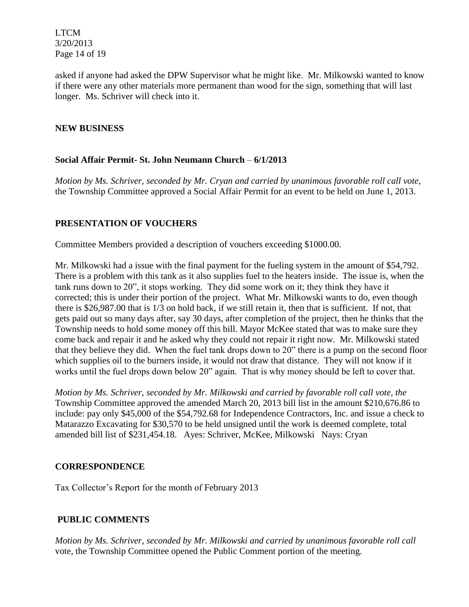LTCM 3/20/2013 Page 14 of 19

asked if anyone had asked the DPW Supervisor what he might like. Mr. Milkowski wanted to know if there were any other materials more permanent than wood for the sign, something that will last longer. Ms. Schriver will check into it.

## **NEW BUSINESS**

### **Social Affair Permit- St. John Neumann Church** – **6/1/2013**

*Motion by Ms. Schriver, seconded by Mr. Cryan and carried by unanimous favorable roll call vote,* the Township Committee approved a Social Affair Permit for an event to be held on June 1, 2013.

### **PRESENTATION OF VOUCHERS**

Committee Members provided a description of vouchers exceeding \$1000.00.

Mr. Milkowski had a issue with the final payment for the fueling system in the amount of \$54,792. There is a problem with this tank as it also supplies fuel to the heaters inside. The issue is, when the tank runs down to 20", it stops working. They did some work on it; they think they have it corrected; this is under their portion of the project. What Mr. Milkowski wants to do, even though there is \$26,987.00 that is 1/3 on hold back, if we still retain it, then that is sufficient. If not, that gets paid out so many days after, say 30 days, after completion of the project, then he thinks that the Township needs to hold some money off this bill. Mayor McKee stated that was to make sure they come back and repair it and he asked why they could not repair it right now. Mr. Milkowski stated that they believe they did. When the fuel tank drops down to 20" there is a pump on the second floor which supplies oil to the burners inside, it would not draw that distance. They will not know if it works until the fuel drops down below 20" again. That is why money should be left to cover that.

*Motion by Ms. Schriver, seconded by Mr. Milkowski and carried by favorable roll call vote, the* Township Committee approved the amended March 20, 2013 bill list in the amount \$210,676.86 to include: pay only \$45,000 of the \$54,792.68 for Independence Contractors, Inc. and issue a check to Matarazzo Excavating for \$30,570 to be held unsigned until the work is deemed complete, total amended bill list of \$231,454.18. Ayes: Schriver, McKee, Milkowski Nays: Cryan

### **CORRESPONDENCE**

Tax Collector's Report for the month of February 2013

## **PUBLIC COMMENTS**

*Motion by Ms. Schriver, seconded by Mr. Milkowski and carried by unanimous favorable roll call*  vote, the Township Committee opened the Public Comment portion of the meeting.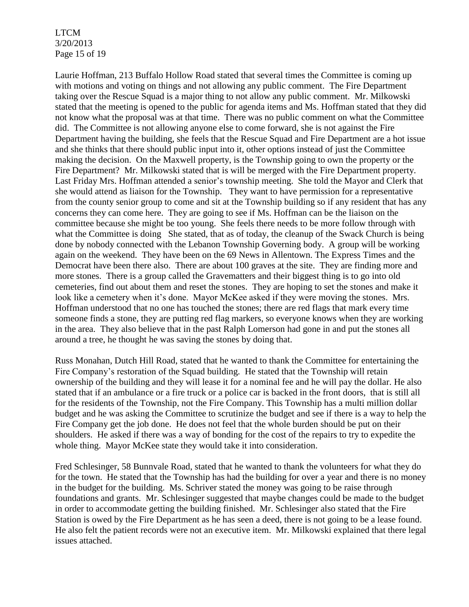LTCM 3/20/2013 Page 15 of 19

Laurie Hoffman, 213 Buffalo Hollow Road stated that several times the Committee is coming up with motions and voting on things and not allowing any public comment. The Fire Department taking over the Rescue Squad is a major thing to not allow any public comment. Mr. Milkowski stated that the meeting is opened to the public for agenda items and Ms. Hoffman stated that they did not know what the proposal was at that time. There was no public comment on what the Committee did. The Committee is not allowing anyone else to come forward, she is not against the Fire Department having the building, she feels that the Rescue Squad and Fire Department are a hot issue and she thinks that there should public input into it, other options instead of just the Committee making the decision. On the Maxwell property, is the Township going to own the property or the Fire Department? Mr. Milkowski stated that is will be merged with the Fire Department property. Last Friday Mrs. Hoffman attended a senior's township meeting. She told the Mayor and Clerk that she would attend as liaison for the Township. They want to have permission for a representative from the county senior group to come and sit at the Township building so if any resident that has any concerns they can come here. They are going to see if Ms. Hoffman can be the liaison on the committee because she might be too young. She feels there needs to be more follow through with what the Committee is doing She stated, that as of today, the cleanup of the Swack Church is being done by nobody connected with the Lebanon Township Governing body. A group will be working again on the weekend. They have been on the 69 News in Allentown. The Express Times and the Democrat have been there also. There are about 100 graves at the site. They are finding more and more stones. There is a group called the Gravematters and their biggest thing is to go into old cemeteries, find out about them and reset the stones. They are hoping to set the stones and make it look like a cemetery when it's done. Mayor McKee asked if they were moving the stones. Mrs. Hoffman understood that no one has touched the stones; there are red flags that mark every time someone finds a stone, they are putting red flag markers, so everyone knows when they are working in the area. They also believe that in the past Ralph Lomerson had gone in and put the stones all around a tree, he thought he was saving the stones by doing that.

Russ Monahan, Dutch Hill Road, stated that he wanted to thank the Committee for entertaining the Fire Company's restoration of the Squad building. He stated that the Township will retain ownership of the building and they will lease it for a nominal fee and he will pay the dollar. He also stated that if an ambulance or a fire truck or a police car is backed in the front doors, that is still all for the residents of the Township, not the Fire Company. This Township has a multi million dollar budget and he was asking the Committee to scrutinize the budget and see if there is a way to help the Fire Company get the job done. He does not feel that the whole burden should be put on their shoulders. He asked if there was a way of bonding for the cost of the repairs to try to expedite the whole thing. Mayor McKee state they would take it into consideration.

Fred Schlesinger, 58 Bunnvale Road, stated that he wanted to thank the volunteers for what they do for the town. He stated that the Township has had the building for over a year and there is no money in the budget for the building. Ms. Schriver stated the money was going to be raise through foundations and grants. Mr. Schlesinger suggested that maybe changes could be made to the budget in order to accommodate getting the building finished. Mr. Schlesinger also stated that the Fire Station is owed by the Fire Department as he has seen a deed, there is not going to be a lease found. He also felt the patient records were not an executive item. Mr. Milkowski explained that there legal issues attached.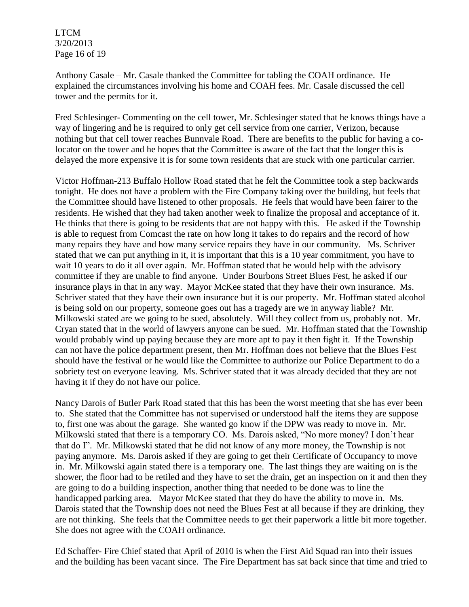LTCM 3/20/2013 Page 16 of 19

Anthony Casale – Mr. Casale thanked the Committee for tabling the COAH ordinance. He explained the circumstances involving his home and COAH fees. Mr. Casale discussed the cell tower and the permits for it.

Fred Schlesinger- Commenting on the cell tower, Mr. Schlesinger stated that he knows things have a way of lingering and he is required to only get cell service from one carrier, Verizon, because nothing but that cell tower reaches Bunnvale Road. There are benefits to the public for having a colocator on the tower and he hopes that the Committee is aware of the fact that the longer this is delayed the more expensive it is for some town residents that are stuck with one particular carrier.

Victor Hoffman-213 Buffalo Hollow Road stated that he felt the Committee took a step backwards tonight. He does not have a problem with the Fire Company taking over the building, but feels that the Committee should have listened to other proposals. He feels that would have been fairer to the residents. He wished that they had taken another week to finalize the proposal and acceptance of it. He thinks that there is going to be residents that are not happy with this. He asked if the Township is able to request from Comcast the rate on how long it takes to do repairs and the record of how many repairs they have and how many service repairs they have in our community. Ms. Schriver stated that we can put anything in it, it is important that this is a 10 year commitment, you have to wait 10 years to do it all over again. Mr. Hoffman stated that he would help with the advisory committee if they are unable to find anyone. Under Bourbons Street Blues Fest, he asked if our insurance plays in that in any way. Mayor McKee stated that they have their own insurance. Ms. Schriver stated that they have their own insurance but it is our property. Mr. Hoffman stated alcohol is being sold on our property, someone goes out has a tragedy are we in anyway liable? Mr. Milkowski stated are we going to be sued, absolutely. Will they collect from us, probably not. Mr. Cryan stated that in the world of lawyers anyone can be sued. Mr. Hoffman stated that the Township would probably wind up paying because they are more apt to pay it then fight it. If the Township can not have the police department present, then Mr. Hoffman does not believe that the Blues Fest should have the festival or he would like the Committee to authorize our Police Department to do a sobriety test on everyone leaving. Ms. Schriver stated that it was already decided that they are not having it if they do not have our police.

Nancy Darois of Butler Park Road stated that this has been the worst meeting that she has ever been to. She stated that the Committee has not supervised or understood half the items they are suppose to, first one was about the garage. She wanted go know if the DPW was ready to move in. Mr. Milkowski stated that there is a temporary CO. Ms. Darois asked, "No more money? I don't hear that do I". Mr. Milkowski stated that he did not know of any more money, the Township is not paying anymore. Ms. Darois asked if they are going to get their Certificate of Occupancy to move in. Mr. Milkowski again stated there is a temporary one. The last things they are waiting on is the shower, the floor had to be retiled and they have to set the drain, get an inspection on it and then they are going to do a building inspection, another thing that needed to be done was to line the handicapped parking area. Mayor McKee stated that they do have the ability to move in. Ms. Darois stated that the Township does not need the Blues Fest at all because if they are drinking, they are not thinking. She feels that the Committee needs to get their paperwork a little bit more together. She does not agree with the COAH ordinance.

Ed Schaffer- Fire Chief stated that April of 2010 is when the First Aid Squad ran into their issues and the building has been vacant since. The Fire Department has sat back since that time and tried to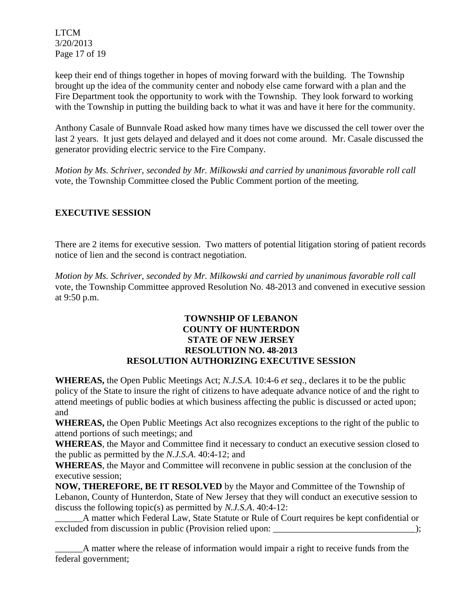LTCM 3/20/2013 Page 17 of 19

keep their end of things together in hopes of moving forward with the building. The Township brought up the idea of the community center and nobody else came forward with a plan and the Fire Department took the opportunity to work with the Township. They look forward to working with the Township in putting the building back to what it was and have it here for the community.

Anthony Casale of Bunnvale Road asked how many times have we discussed the cell tower over the last 2 years. It just gets delayed and delayed and it does not come around. Mr. Casale discussed the generator providing electric service to the Fire Company.

*Motion by Ms. Schriver, seconded by Mr. Milkowski and carried by unanimous favorable roll call*  vote, the Township Committee closed the Public Comment portion of the meeting.

# **EXECUTIVE SESSION**

There are 2 items for executive session. Two matters of potential litigation storing of patient records notice of lien and the second is contract negotiation.

*Motion by Ms. Schriver, seconded by Mr. Milkowski and carried by unanimous favorable roll call*  vote, the Township Committee approved Resolution No. 48-2013 and convened in executive session at 9:50 p.m.

### **TOWNSHIP OF LEBANON COUNTY OF HUNTERDON STATE OF NEW JERSEY RESOLUTION NO. 48-2013 RESOLUTION AUTHORIZING EXECUTIVE SESSION**

**WHEREAS,** the Open Public Meetings Act; *N.J.S.A.* 10:4-6 *et seq*., declares it to be the public policy of the State to insure the right of citizens to have adequate advance notice of and the right to attend meetings of public bodies at which business affecting the public is discussed or acted upon; and

**WHEREAS,** the Open Public Meetings Act also recognizes exceptions to the right of the public to attend portions of such meetings; and

**WHEREAS**, the Mayor and Committee find it necessary to conduct an executive session closed to the public as permitted by the *N.J.S.A*. 40:4-12; and

**WHEREAS**, the Mayor and Committee will reconvene in public session at the conclusion of the executive session;

**NOW, THEREFORE, BE IT RESOLVED** by the Mayor and Committee of the Township of Lebanon, County of Hunterdon, State of New Jersey that they will conduct an executive session to discuss the following topic(s) as permitted by *N.J.S.A*. 40:4-12:

\_\_\_\_\_\_A matter which Federal Law, State Statute or Rule of Court requires be kept confidential or excluded from discussion in public (Provision relied upon: \_\_\_\_\_\_\_\_\_\_\_\_\_\_\_\_\_\_\_\_\_\_\_\_\_\_\_\_\_\_\_);

A matter where the release of information would impair a right to receive funds from the federal government;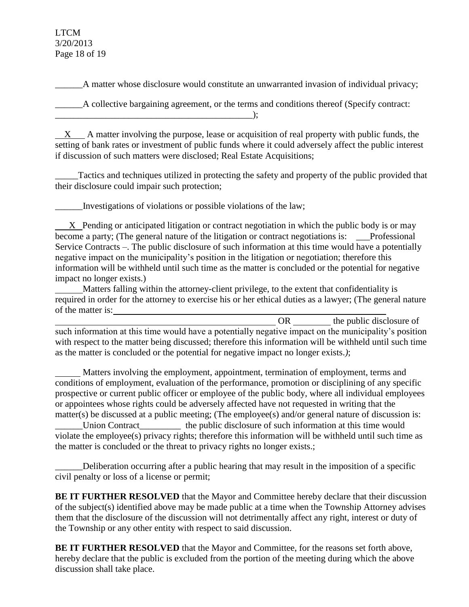### LTCM 3/20/2013 Page 18 of 19

A matter whose disclosure would constitute an unwarranted invasion of individual privacy;

\_\_\_\_\_\_A collective bargaining agreement, or the terms and conditions thereof (Specify contract:

 $\qquad \qquad \text{)}$ ;

X A matter involving the purpose, lease or acquisition of real property with public funds, the setting of bank rates or investment of public funds where it could adversely affect the public interest if discussion of such matters were disclosed; Real Estate Acquisitions;

Tactics and techniques utilized in protecting the safety and property of the public provided that their disclosure could impair such protection;

\_\_\_\_\_\_Investigations of violations or possible violations of the law;

 X Pending or anticipated litigation or contract negotiation in which the public body is or may become a party; (The general nature of the litigation or contract negotiations is: \_\_\_Professional Service Contracts –. The public disclosure of such information at this time would have a potentially negative impact on the municipality's position in the litigation or negotiation; therefore this information will be withheld until such time as the matter is concluded or the potential for negative impact no longer exists.)

 Matters falling within the attorney-client privilege, to the extent that confidentiality is required in order for the attorney to exercise his or her ethical duties as a lawyer; (The general nature of the matter is:

OR the public disclosure of such information at this time would have a potentially negative impact on the municipality's position with respect to the matter being discussed; therefore this information will be withheld until such time as the matter is concluded or the potential for negative impact no longer exists.*)*;

 Matters involving the employment, appointment, termination of employment, terms and conditions of employment, evaluation of the performance, promotion or disciplining of any specific prospective or current public officer or employee of the public body, where all individual employees or appointees whose rights could be adversely affected have not requested in writing that the matter(s) be discussed at a public meeting; (The employee(s) and/or general nature of discussion is: Union Contract\_\_\_\_\_\_\_\_\_\_\_\_ the public disclosure of such information at this time would violate the employee(s) privacy rights; therefore this information will be withheld until such time as the matter is concluded or the threat to privacy rights no longer exists.;

\_\_\_\_\_\_Deliberation occurring after a public hearing that may result in the imposition of a specific civil penalty or loss of a license or permit;

**BE IT FURTHER RESOLVED** that the Mayor and Committee hereby declare that their discussion of the subject(s) identified above may be made public at a time when the Township Attorney advises them that the disclosure of the discussion will not detrimentally affect any right, interest or duty of the Township or any other entity with respect to said discussion.

**BE IT FURTHER RESOLVED** that the Mayor and Committee, for the reasons set forth above, hereby declare that the public is excluded from the portion of the meeting during which the above discussion shall take place.